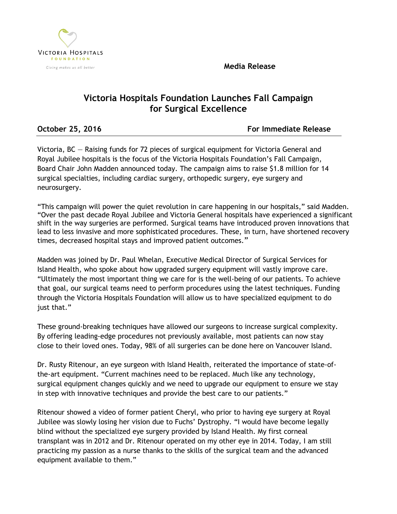**Media Release**



# **Victoria Hospitals Foundation Launches Fall Campaign for Surgical Excellence**

**October 25, 2016 For Immediate Release**

Victoria, BC — Raising funds for 72 pieces of surgical equipment for Victoria General and Royal Jubilee hospitals is the focus of the Victoria Hospitals Foundation's Fall Campaign, Board Chair John Madden announced today. The campaign aims to raise \$1.8 million for 14 surgical specialties, including cardiac surgery, orthopedic surgery, eye surgery and neurosurgery.

"This campaign will power the quiet revolution in care happening in our hospitals," said Madden. "Over the past decade Royal Jubilee and Victoria General hospitals have experienced a significant shift in the way surgeries are performed. Surgical teams have introduced proven innovations that lead to less invasive and more sophisticated procedures. These, in turn, have shortened recovery times, decreased hospital stays and improved patient outcomes."

Madden was joined by Dr. Paul Whelan, Executive Medical Director of Surgical Services for Island Health, who spoke about how upgraded surgery equipment will vastly improve care. "Ultimately the most important thing we care for is the well-being of our patients. To achieve that goal, our surgical teams need to perform procedures using the latest techniques. Funding through the Victoria Hospitals Foundation will allow us to have specialized equipment to do just that."

These ground-breaking techniques have allowed our surgeons to increase surgical complexity. By offering leading-edge procedures not previously available, most patients can now stay close to their loved ones. Today, 98% of all surgeries can be done here on Vancouver Island.

Dr. Rusty Ritenour, an eye surgeon with Island Health, reiterated the importance of state-ofthe-art equipment. "Current machines need to be replaced. Much like any technology, surgical equipment changes quickly and we need to upgrade our equipment to ensure we stay in step with innovative techniques and provide the best care to our patients."

Ritenour showed a video of former patient Cheryl, who prior to having eye surgery at Royal Jubilee was slowly losing her vision due to Fuchs' Dystrophy. "I would have become legally blind without the specialized eye surgery provided by Island Health. My first corneal transplant was in 2012 and Dr. Ritenour operated on my other eye in 2014. Today, I am still practicing my passion as a nurse thanks to the skills of the surgical team and the advanced equipment available to them."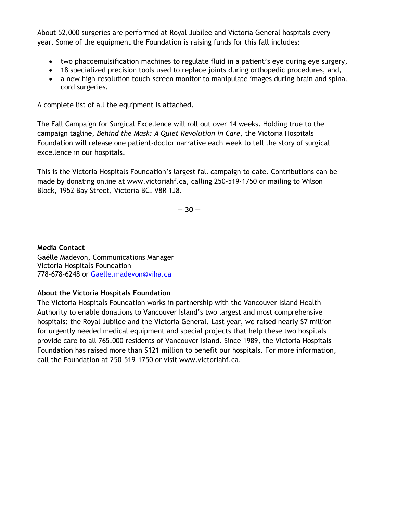About 52,000 surgeries are performed at Royal Jubilee and Victoria General hospitals every year. Some of the equipment the Foundation is raising funds for this fall includes:

- two phacoemulsification machines to regulate fluid in a patient's eye during eye surgery,
- 18 specialized precision tools used to replace joints during orthopedic procedures, and,
- a new high-resolution touch-screen monitor to manipulate images during brain and spinal cord surgeries.

A complete list of all the equipment is attached.

The Fall Campaign for Surgical Excellence will roll out over 14 weeks. Holding true to the campaign tagline, *Behind the Mask: A Quiet Revolution in Care,* the Victoria Hospitals Foundation will release one patient-doctor narrative each week to tell the story of surgical excellence in our hospitals.

This is the Victoria Hospitals Foundation's largest fall campaign to date. Contributions can be made by donating online at [www.victoriahf.ca,](http://www.victoriahf.ca/) calling 250-519-1750 or mailing to Wilson Block, 1952 Bay Street, Victoria BC, V8R 1J8.

**― 30 ―**

**Media Contact** Gaëlle Madevon, Communications Manager Victoria Hospitals Foundation 778-678-6248 or [Gaelle.madevon@viha.ca](mailto:Gaelle.madevon@viha.ca)

### **About the Victoria Hospitals Foundation**

The Victoria Hospitals Foundation works in partnership with the Vancouver Island Health Authority to enable donations to Vancouver Island's two largest and most comprehensive hospitals: the Royal Jubilee and the Victoria General. Last year, we raised nearly \$7 million for urgently needed medical equipment and special projects that help these two hospitals provide care to all 765,000 residents of Vancouver Island. Since 1989, the Victoria Hospitals Foundation has raised more than \$121 million to benefit our hospitals. For more information, call the Foundation at 250-519-1750 or visit [www.victoriahf.ca.](http://www.victoriahf.ca/)